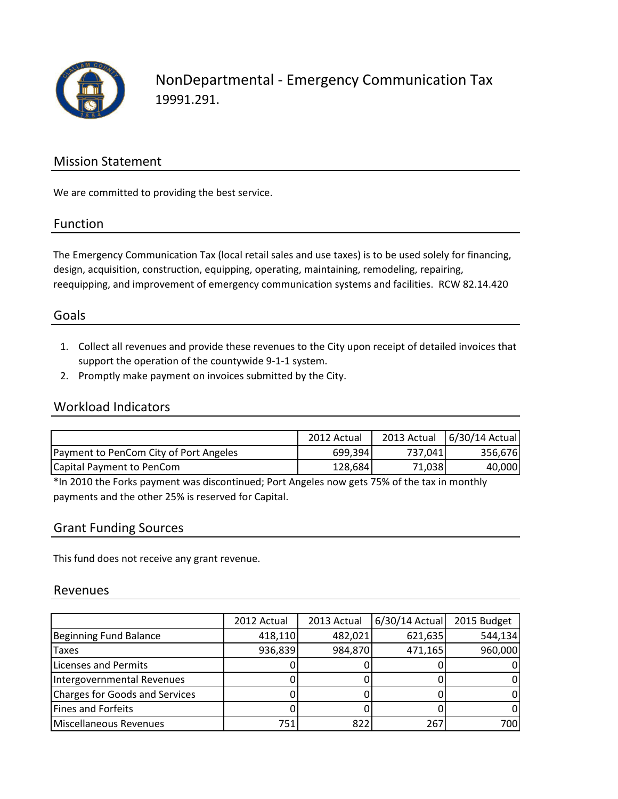

NonDepartmental - Emergency Communication Tax 19991.291.

### Mission Statement

We are committed to providing the best service.

#### Function

The Emergency Communication Tax (local retail sales and use taxes) is to be used solely for financing, design, acquisition, construction, equipping, operating, maintaining, remodeling, repairing, reequipping, and improvement of emergency communication systems and facilities. RCW 82.14.420

### Goals

- 1. Collect all revenues and provide these revenues to the City upon receipt of detailed invoices that support the operation of the countywide 9-1-1 system.
- 2. Promptly make payment on invoices submitted by the City.

#### Workload Indicators

|                                        | 2012 Actual |          | 2013 Actual   6/30/14 Actual |
|----------------------------------------|-------------|----------|------------------------------|
| Payment to PenCom City of Port Angeles | 699,394     | 737.0411 | 356,676                      |
| Capital Payment to PenCom              | 128.684     | 71,038   | 40,000                       |

\*In 2010 the Forks payment was discontinued; Port Angeles now gets 75% of the tax in monthly payments and the other 25% is reserved for Capital.

#### Grant Funding Sources

This fund does not receive any grant revenue.

#### Revenues

|                                       | 2012 Actual | 2013 Actual | 6/30/14 Actual | 2015 Budget |
|---------------------------------------|-------------|-------------|----------------|-------------|
| Beginning Fund Balance                | 418,110     | 482,021     | 621,635        | 544,134     |
| <b>Taxes</b>                          | 936,839     | 984,870     | 471,165        | 960,000     |
| Licenses and Permits                  |             |             |                |             |
| Intergovernmental Revenues            |             |             |                |             |
| <b>Charges for Goods and Services</b> |             |             |                |             |
| <b>Fines and Forfeits</b>             |             |             |                |             |
| Miscellaneous Revenues                | 751         | 822         | 267            | 700         |